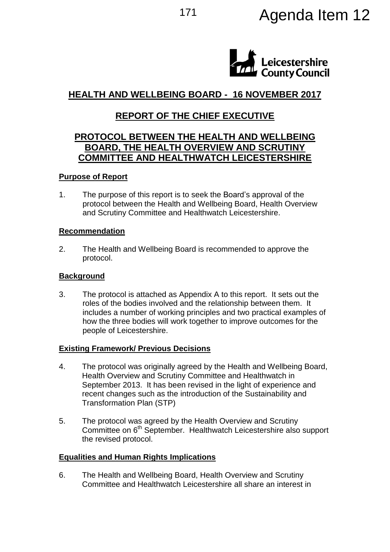# 171 **Agenda Item 12**



## **HEALTH AND WELLBEING BOARD - 16 NOVEMBER 2017**

## **REPORT OF THE CHIEF EXECUTIVE**

### **PROTOCOL BETWEEN THE HEALTH AND WELLBEING BOARD, THE HEALTH OVERVIEW AND SCRUTINY COMMITTEE AND HEALTHWATCH LEICESTERSHIRE**

#### **Purpose of Report**

1. The purpose of this report is to seek the Board's approval of the protocol between the Health and Wellbeing Board, Health Overview and Scrutiny Committee and Healthwatch Leicestershire.

#### **Recommendation**

2. The Health and Wellbeing Board is recommended to approve the protocol.

#### **Background**

3. The protocol is attached as Appendix A to this report. It sets out the roles of the bodies involved and the relationship between them. It includes a number of working principles and two practical examples of how the three bodies will work together to improve outcomes for the people of Leicestershire.

#### **Existing Framework/ Previous Decisions**

- 4. The protocol was originally agreed by the Health and Wellbeing Board, Health Overview and Scrutiny Committee and Healthwatch in September 2013. It has been revised in the light of experience and recent changes such as the introduction of the Sustainability and Transformation Plan (STP)
- 5. The protocol was agreed by the Health Overview and Scrutiny Committee on 6<sup>th</sup> September. Healthwatch Leicestershire also support the revised protocol.

#### **Equalities and Human Rights Implications**

6. The Health and Wellbeing Board, Health Overview and Scrutiny Committee and Healthwatch Leicestershire all share an interest in